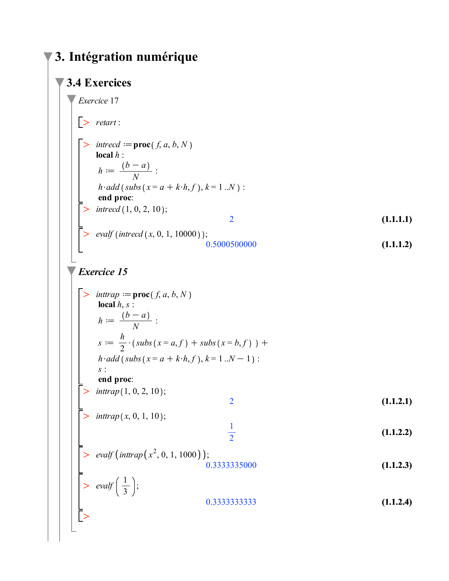## $\triangleright$  *inttrap*  $:=$  **proc**(*f, a, b, N*)  $>$  *inttrap*(*x*, 0, 1, 10); **(1.1.1.1)**  $>$  *inttrap*(1, 0, 2, 10); **(1.1.2.1) (1.1.2.2)**  $\geq$ > retart:  $\triangleright$  *intrecd*  $:=$  **proc**( $f$ ,  $a$ ,  $b$ ,  $N$ **(1.1.1.2)**  $\geq$ **3. Intégration numérique 3.4 Exercices** *Exercice* 17 **local** *h* :  $h := \frac{(b-a)}{N}$ :  $h \cdot add(subs(x = a + k \cdot h, f), k = 1..N)$ : **end proc**:  $interval (1, 0, 2, 10);$ 2 *evalf* (*intrecd* (*x*, 0, 1, 10000) ; 0.5000500000 *Exercice 15* **local** *h*, *s* :  $h := \frac{(b-a)}{N}$ :  $s := \frac{h}{2} \cdot (subs(x = a, f) + subs(x = b, f)) +$  $h \cdot add(subs(x = a + k \cdot h, f), k = 1..N - 1)$ : *s* : **end proc**: 2 1 2

**(1.1.2.3) (1.1.2.4)** O O O *evalf inttrap x* 2 , 0, 1, 1000 ; 0.3333335000 *evalf* <sup>1</sup> <sup>3</sup> ; 0.3333333333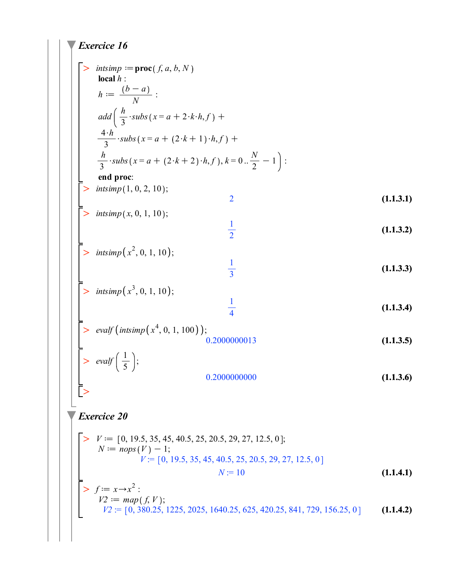Exercise 16  
\n
$$
\sum_{\substack{n \text{sum} \mid n \text{sum}}}^{\text{max} \mid n} \frac{\text{1}}{n} = \text{proc}(f, a, b, N)
$$
\n
$$
h := \frac{(b - a)}{N}
$$
\n
$$
\frac{a}{3} \cdot \text{subs}(x = a + 2 \cdot k \cdot h, f) + \frac{4 \cdot h}{3} \cdot \text{subs}(x = a + (2 \cdot k + 1) \cdot h, f) + \frac{h}{3} \cdot \text{subs}(x = a + (2 \cdot k + 2) \cdot h, f), k = 0 \cdot \frac{N}{2} - 1 \text{ s}
$$
\n
$$
\frac{1}{\text{end proc}};
$$
\n
$$
\sum_{\substack{n \text{sum} \mid n \text{sum}}}(n, 0, 2, 10);
$$
\n
$$
\sum_{\substack{n \text{sum} \mid n \text{sum}}}(n, 0, 1, 10);
$$
\n
$$
\sum_{\substack{n \text{sum} \mid n \text{sum}}}(n, 2, 0, 1, 10);
$$
\n
$$
\frac{1}{3} \quad (1.1.3.3)
$$
\n
$$
\sum_{\substack{n \text{sum} \mid n \text{sum}}}(n, 2, 0, 1, 10);
$$
\n
$$
\sum_{\substack{n \text{sum} \mid n \text{sum}}}(n, 2, 0, 1, 10);
$$
\n
$$
\sum_{\substack{n \text{sum} \mid n \text{sum}}}(n, 2, 0, 1, 10);
$$
\n
$$
\sum_{\substack{n \text{sum} \mid n \text{sum}}}(n, 2, 0, 1, 10);
$$
\n
$$
\sum_{\substack{n \text{sum} \mid n \text{sum}}}(n, 2, 0, 1, 10);
$$
\n
$$
\sum_{\substack{n \text{sum} \mid n \text{sum}}}(n, 4, 0, 1, 100);
$$
\n
$$
\sum_{\substack{n \text{sum} \mid n \text{sum}}}(n, 4, 0, 1, 100);
$$
\n
$$
\sum_{\substack{n \text{sum} \mid n \text{sum}}}(n, 4, 0, 1, 100);
$$
\n
$$
\sum_{
$$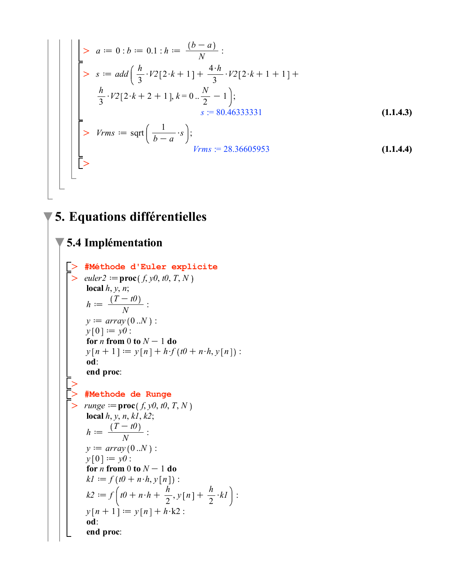$$
\begin{vmatrix}\n> a := 0 : b := 0.1 : h := \frac{(b - a)}{N} : \\
> s := add\left(\frac{h}{3} \cdot V2[2 \cdot k + 1] + \frac{4 \cdot h}{3} \cdot V2[2 \cdot k + 1 + 1] + \frac{h}{3} \cdot V2[2 \cdot k + 1 + 1] + \frac{h}{3} \cdot V2[2 \cdot k + 2 + 1], k = 0 \cdot \frac{N}{2} - 1 \right); \\
s := 80.46333331\n\end{vmatrix}
$$
\n(1.1.4.3)  
\n
$$
\begin{vmatrix}\n> Vrms := \sqrt{\frac{1}{b - a}} \cdot s \\
> Vrms := 28.36605953\n\end{vmatrix}
$$
\n(1.1.4.4)

## ▼ 5. Equations différentielles

## ▼ 5.4 Implémentation

```
\n  \begin{aligned}\n & \textbf{[} > \text{ #Méthode d'Euler explicite} \\
 & \textbf{[} > \text{euler2 := \text{proc}(f, y0, t0, T, N)} \\
 & \textbf{[local } h, y, n; \\
 & h & \textbf{[} & \textbf{[} & \textbf{[} & \textbf{[} & \textbf{[} & \textbf{[} & \textbf{[} & \textbf{[} & \textbf{[} & \textbf{[} & \textbf{[} & \textbf{[} & \textbf{[} & \textbf{[} &y := array(0..N):
         y[0] := y0:
         for n from 0 to N-1 do
         y[n+1] := y[n] + h \cdot f(t0 + n \cdot h, y[n]):
         od:
         end proc:
        #Methode de Runge
mage = proc(f, y0, t0, T, N)<br>local h, y, n, k1, k2;
        h := \frac{(T-t0)}{N}:
         y := array(0..N):
         y[0] := y0:
         for n from 0 to N-1 do
         kl := f(t0 + n \cdot h, y[n]):
        k2 := f\left(t0 + n \cdot h + \frac{h}{2}, y[n] + \frac{h}{2} \cdot kI\right):
         y[n+1] := y[n] + h \cdot k2:
          od:
          end proc:
```